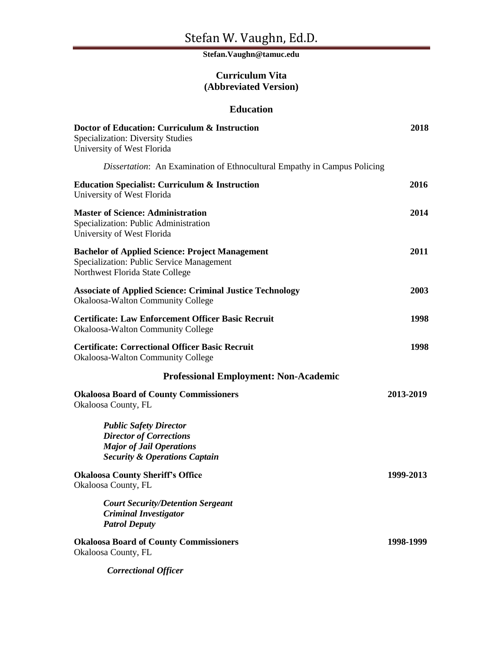# **Stefan.Vaughn@tamuc.edu**

# **Curriculum Vita (Abbreviated Version)**

## **Education**

| Doctor of Education: Curriculum & Instruction<br><b>Specialization: Diversity Studies</b><br>University of West Florida                        | 2018      |
|------------------------------------------------------------------------------------------------------------------------------------------------|-----------|
| Dissertation: An Examination of Ethnocultural Empathy in Campus Policing                                                                       |           |
| <b>Education Specialist: Curriculum &amp; Instruction</b><br>University of West Florida                                                        | 2016      |
| <b>Master of Science: Administration</b><br>Specialization: Public Administration<br>University of West Florida                                | 2014      |
| <b>Bachelor of Applied Science: Project Management</b><br>Specialization: Public Service Management<br>Northwest Florida State College         | 2011      |
| <b>Associate of Applied Science: Criminal Justice Technology</b><br><b>Okaloosa-Walton Community College</b>                                   | 2003      |
| <b>Certificate: Law Enforcement Officer Basic Recruit</b><br>Okaloosa-Walton Community College                                                 | 1998      |
| <b>Certificate: Correctional Officer Basic Recruit</b><br>Okaloosa-Walton Community College                                                    | 1998      |
| <b>Professional Employment: Non-Academic</b>                                                                                                   |           |
| <b>Okaloosa Board of County Commissioners</b><br>Okaloosa County, FL                                                                           | 2013-2019 |
| <b>Public Safety Director</b><br><b>Director of Corrections</b><br><b>Major of Jail Operations</b><br><b>Security &amp; Operations Captain</b> |           |
| <b>Okaloosa County Sheriff's Office</b><br>Okaloosa County, FL                                                                                 | 1999-2013 |
| <b>Court Security/Detention Sergeant</b><br><b>Criminal Investigator</b><br><b>Patrol Deputy</b>                                               |           |
| <b>Okaloosa Board of County Commissioners</b><br>Okaloosa County, FL                                                                           | 1998-1999 |
| <b>Correctional Officer</b>                                                                                                                    |           |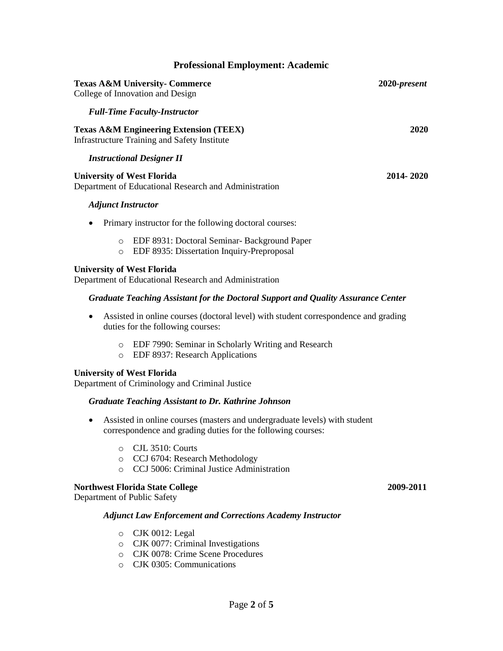| <b>Professional Employment: Academic</b>                                                                        |              |
|-----------------------------------------------------------------------------------------------------------------|--------------|
| <b>Texas A&amp;M University- Commerce</b><br>College of Innovation and Design                                   | 2020-present |
| <b>Full-Time Faculty-Instructor</b>                                                                             |              |
| <b>Texas A&amp;M Engineering Extension (TEEX)</b><br><b>Infrastructure Training and Safety Institute</b>        | 2020         |
| <b>Instructional Designer II</b>                                                                                |              |
| <b>University of West Florida</b><br>Department of Educational Research and Administration                      | 2014-2020    |
| <b>Adjunct Instructor</b>                                                                                       |              |
| Primary instructor for the following doctoral courses:<br>٠                                                     |              |
| EDF 8931: Doctoral Seminar-Background Paper<br>$\circ$<br>EDF 8935: Dissertation Inquiry-Preproposal<br>$\circ$ |              |
| <b>University of West Florida</b>                                                                               |              |

Department of Educational Research and Administration

#### *Graduate Teaching Assistant for the Doctoral Support and Quality Assurance Center*

- Assisted in online courses (doctoral level) with student correspondence and grading duties for the following courses:
	- o EDF 7990: Seminar in Scholarly Writing and Research
	- o EDF 8937: Research Applications

#### **University of West Florida**

Department of Criminology and Criminal Justice

#### *Graduate Teaching Assistant to Dr. Kathrine Johnson*

- Assisted in online courses (masters and undergraduate levels) with student correspondence and grading duties for the following courses:
	- o CJL 3510: Courts
	- o CCJ 6704: Research Methodology
	- o CCJ 5006: Criminal Justice Administration

#### **Northwest Florida State College 2009***-***2011**

Department of Public Safety

#### *Adjunct Law Enforcement and Corrections Academy Instructor*

- o CJK 0012: Legal
- o CJK 0077: Criminal Investigations
- o CJK 0078: Crime Scene Procedures
- o CJK 0305: Communications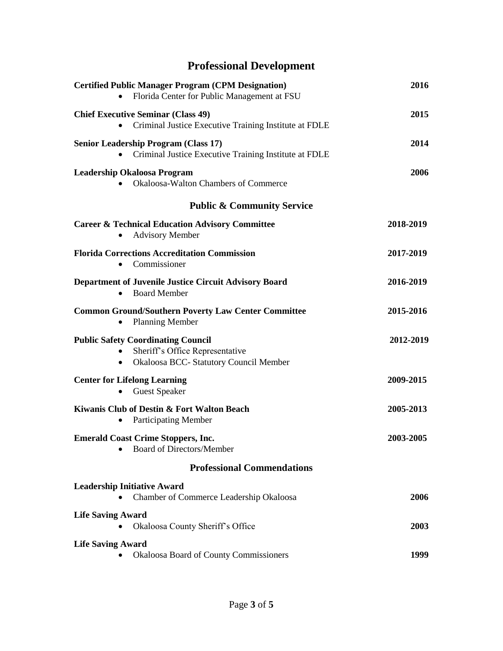# **Professional Development**

| <b>Certified Public Manager Program (CPM Designation)</b><br>Florida Center for Public Management at FSU<br>$\bullet$               | 2016      |
|-------------------------------------------------------------------------------------------------------------------------------------|-----------|
| <b>Chief Executive Seminar (Class 49)</b><br>Criminal Justice Executive Training Institute at FDLE                                  | 2015      |
| <b>Senior Leadership Program (Class 17)</b><br>Criminal Justice Executive Training Institute at FDLE<br>$\bullet$                   | 2014      |
| <b>Leadership Okaloosa Program</b><br>Okaloosa-Walton Chambers of Commerce                                                          | 2006      |
| <b>Public &amp; Community Service</b>                                                                                               |           |
| <b>Career &amp; Technical Education Advisory Committee</b><br><b>Advisory Member</b>                                                | 2018-2019 |
| <b>Florida Corrections Accreditation Commission</b><br>Commissioner<br>$\bullet$                                                    | 2017-2019 |
| <b>Department of Juvenile Justice Circuit Advisory Board</b><br><b>Board Member</b><br>$\bullet$                                    | 2016-2019 |
| <b>Common Ground/Southern Poverty Law Center Committee</b><br><b>Planning Member</b>                                                | 2015-2016 |
| <b>Public Safety Coordinating Council</b><br>Sheriff's Office Representative<br>Okaloosa BCC- Statutory Council Member<br>$\bullet$ | 2012-2019 |
| <b>Center for Lifelong Learning</b><br><b>Guest Speaker</b>                                                                         | 2009-2015 |
| Kiwanis Club of Destin & Fort Walton Beach<br><b>Participating Member</b>                                                           | 2005-2013 |
| <b>Emerald Coast Crime Stoppers, Inc.</b><br><b>Board of Directors/Member</b>                                                       | 2003-2005 |
| <b>Professional Commendations</b>                                                                                                   |           |
| <b>Leadership Initiative Award</b><br>Chamber of Commerce Leadership Okaloosa                                                       | 2006      |
| <b>Life Saving Award</b><br>Okaloosa County Sheriff's Office                                                                        | 2003      |
| <b>Life Saving Award</b><br>Okaloosa Board of County Commissioners                                                                  | 1999      |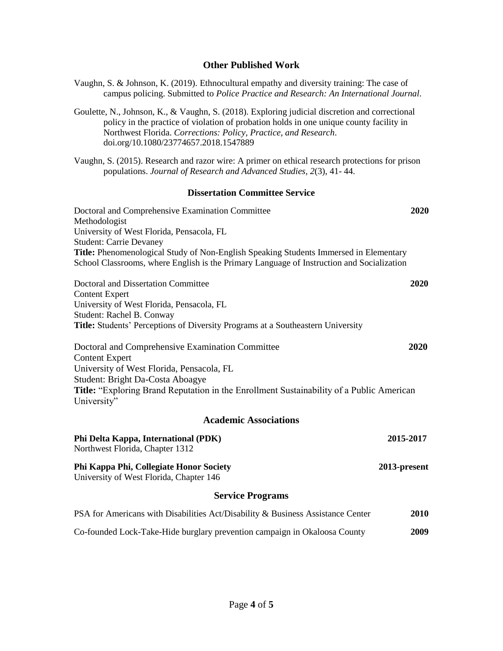# **Other Published Work**

campus policing. Submitted to *Police Practice and Research: An International Journal.*

Vaughn, S. & Johnson, K. (2019). Ethnocultural empathy and diversity training: The case of

| Goulette, N., Johnson, K., & Vaughn, S. (2018). Exploring judicial discretion and correctional<br>policy in the practice of violation of probation holds in one unique county facility in<br>Northwest Florida. Corrections: Policy, Practice, and Research.<br>doi.org/10.1080/23774657.2018.1547889                                  |              |  |
|----------------------------------------------------------------------------------------------------------------------------------------------------------------------------------------------------------------------------------------------------------------------------------------------------------------------------------------|--------------|--|
| Vaughn, S. (2015). Research and razor wire: A primer on ethical research protections for prison<br>populations. Journal of Research and Advanced Studies, 2(3), 41-44.                                                                                                                                                                 |              |  |
| <b>Dissertation Committee Service</b>                                                                                                                                                                                                                                                                                                  |              |  |
| Doctoral and Comprehensive Examination Committee<br>Methodologist<br>University of West Florida, Pensacola, FL<br><b>Student: Carrie Devaney</b><br>Title: Phenomenological Study of Non-English Speaking Students Immersed in Elementary<br>School Classrooms, where English is the Primary Language of Instruction and Socialization | 2020         |  |
| <b>Doctoral and Dissertation Committee</b><br><b>Content Expert</b><br>University of West Florida, Pensacola, FL<br>Student: Rachel B. Conway<br>Title: Students' Perceptions of Diversity Programs at a Southeastern University                                                                                                       | 2020         |  |
| Doctoral and Comprehensive Examination Committee<br><b>Content Expert</b><br>University of West Florida, Pensacola, FL<br>Student: Bright Da-Costa Aboagye<br>Title: "Exploring Brand Reputation in the Enrollment Sustainability of a Public American<br>University"                                                                  | 2020         |  |
| <b>Academic Associations</b>                                                                                                                                                                                                                                                                                                           |              |  |
| Phi Delta Kappa, International (PDK)<br>Northwest Florida, Chapter 1312                                                                                                                                                                                                                                                                | 2015-2017    |  |
| Phi Kappa Phi, Collegiate Honor Society<br>University of West Florida, Chapter 146                                                                                                                                                                                                                                                     | 2013-present |  |
| <b>Service Programs</b>                                                                                                                                                                                                                                                                                                                |              |  |
| PSA for Americans with Disabilities Act/Disability & Business Assistance Center                                                                                                                                                                                                                                                        | 2010         |  |
| Co-founded Lock-Take-Hide burglary prevention campaign in Okaloosa County                                                                                                                                                                                                                                                              | 2009         |  |